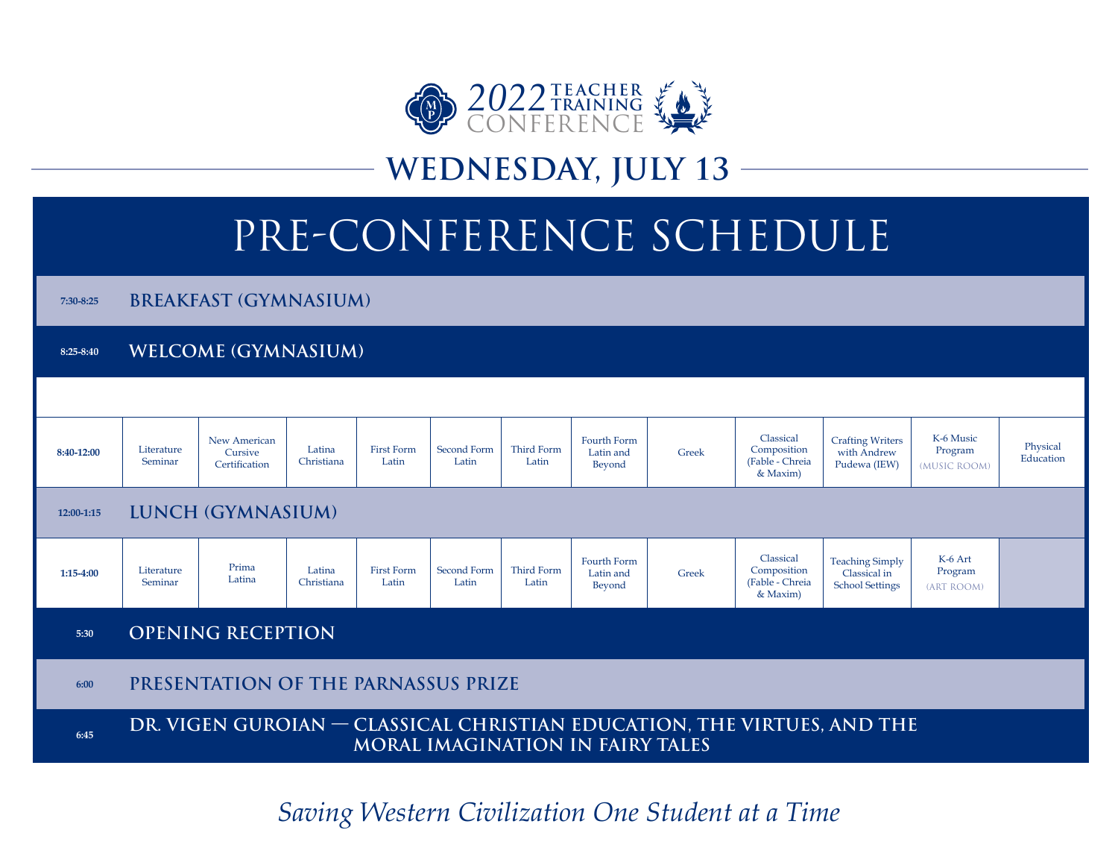

## **WEDNESDAY, JULY 13**

# PRE-CONFERENCE SCHEDULE

**7:30-8:25 BREAKFAST (GYMNASIUM)**

**8:25-8:40 WELCOME (GYMNASIUM)**



*Saving Western Civilization One Student at a Time*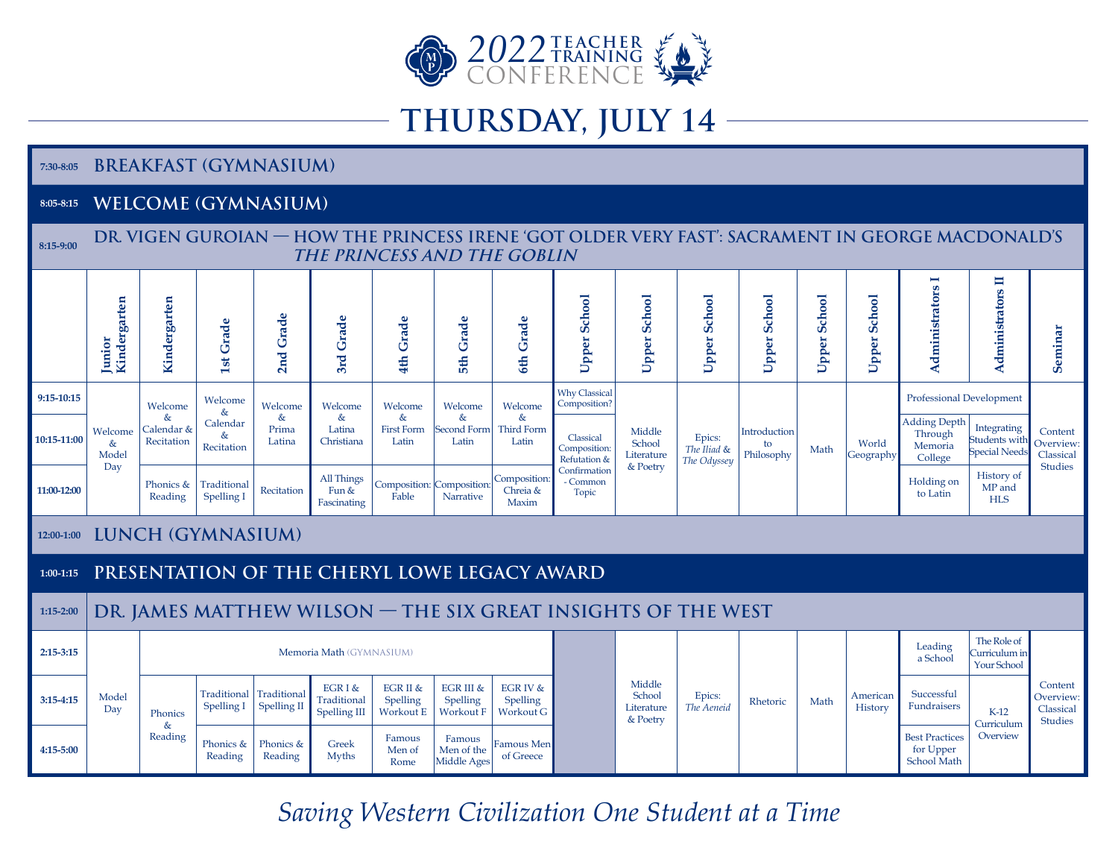

## **THURSDAY, JULY 14**

#### **7:30-8:05 BREAKFAST (GYMNASIUM)**

### **8:05-8:15 WELCOME (GYMNASIUM)**

| 8:15-9:00     | DR. VIGEN GUROIAN — HOW THE PRINCESS IRENE 'GOT OLDER VERY FAST': SACRAMENT IN GEORGE MACDONALD'S<br>THE PRINCESS AND THE GOBLIN |                                                               |                                                |                                 |                                        |                                               |                                           |                                        |                                                                                |                                            |                                      |                                  |                     |                         |                                                          |                                                      |                                                     |
|---------------|----------------------------------------------------------------------------------------------------------------------------------|---------------------------------------------------------------|------------------------------------------------|---------------------------------|----------------------------------------|-----------------------------------------------|-------------------------------------------|----------------------------------------|--------------------------------------------------------------------------------|--------------------------------------------|--------------------------------------|----------------------------------|---------------------|-------------------------|----------------------------------------------------------|------------------------------------------------------|-----------------------------------------------------|
|               | Kindergarten<br>Junior                                                                                                           | Kindergarten                                                  | <b>1st Grade</b>                               | 2nd Grade                       | Grade<br>3rd                           | Grade<br>4th                                  | 5th Grade                                 | Grade<br>6th                           | School<br>Upper:                                                               | <b>Upper School</b>                        | <b>Upper School</b>                  | <b>School</b><br>Upper           | <b>Upper School</b> | <b>School</b><br>Upper! | Administrators I                                         | Administrators II                                    | Seminar                                             |
| 9:15-10:15    | Welcome<br>$\&$<br>Model<br>Day                                                                                                  | Welcome<br>&<br>Calendar &<br>Recitation                      | Welcome<br>$\&$<br>Calendar<br>&<br>Recitation | Welcome<br>&<br>Prima<br>Latina | Welcome<br>&<br>Latina<br>Christiana   | Welcome<br>$\&$<br><b>First Form</b><br>Latin | Welcome<br>$\&$<br>Second Form<br>Latin   | Welcome<br>$\&$<br>Third Form<br>Latin | <b>Why Classical</b><br>Composition?                                           | Middle<br>School<br>Literature<br>& Poetry | Epics:<br>The Iliad &<br>The Odyssey | Introduction<br>to<br>Philosophy | Math                | World<br>Geography      | Professional Development                                 |                                                      |                                                     |
| 10:15-11:00   |                                                                                                                                  |                                                               |                                                |                                 |                                        |                                               |                                           |                                        | Classical<br>Composition:<br>Refutation &<br>Confirmation<br>- Common<br>Topic |                                            |                                      |                                  |                     |                         | <b>Adding Depth</b><br>Through<br>Memoria<br>College     | Integrating<br>Students with<br><b>Special Needs</b> | Content<br>Overview:<br>Classical<br><b>Studies</b> |
| 11:00-12:00   |                                                                                                                                  | Phonics &<br>Reading                                          | Traditional<br>Spelling I                      | Recitation                      | All Things<br>Fun &<br>Fascinating     | Composition: Composition:<br>Fable            | <b>Narrative</b>                          | Composition:<br>Chreia &<br>Maxim      |                                                                                |                                            |                                      |                                  |                     |                         | Holding on<br>to Latin                                   | History of<br>MP and<br><b>HLS</b>                   |                                                     |
| 12:00-1:00    | <b>LUNCH (GYMNASIUM)</b>                                                                                                         |                                                               |                                                |                                 |                                        |                                               |                                           |                                        |                                                                                |                                            |                                      |                                  |                     |                         |                                                          |                                                      |                                                     |
| $1:00-1:15$   | PRESENTATION OF THE CHERYL LOWE LEGACY AWARD                                                                                     |                                                               |                                                |                                 |                                        |                                               |                                           |                                        |                                                                                |                                            |                                      |                                  |                     |                         |                                                          |                                                      |                                                     |
| 1:15-2:00     |                                                                                                                                  | DR. JAMES MATTHEW WILSON - THE SIX GREAT INSIGHTS OF THE WEST |                                                |                                 |                                        |                                               |                                           |                                        |                                                                                |                                            |                                      |                                  |                     |                         |                                                          |                                                      |                                                     |
| $2:15-3:15$   |                                                                                                                                  | Memoria Math (GYMNASIUM)                                      |                                                |                                 |                                        |                                               |                                           |                                        |                                                                                |                                            |                                      |                                  |                     |                         | Leading<br>a School                                      | The Role of<br>Curriculum in<br>Your School          |                                                     |
| $3:15-4:15$   | Model<br>Day                                                                                                                     | Phonics<br>&<br>Reading                                       | Traditional<br>Spelling I                      | Traditional<br>Spelling II      | EGR I &<br>Traditional<br>Spelling III | EGR II &<br>Spelling<br>Workout E             | EGR III &<br>Spelling<br><b>Workout F</b> | EGR IV &<br>Spelling<br>Workout G      |                                                                                | Middle<br>School<br>Literature<br>& Poetry | Epics:<br>The Aeneid                 | Rhetoric                         | Math                | American<br>History     | Successful<br>Fundraisers                                | $K-12$<br>Curriculum<br>Overview                     | Content<br>Overview:<br>Classical<br><b>Studies</b> |
| $4:15 - 5:00$ |                                                                                                                                  |                                                               | Phonics &<br>Reading                           | Phonics &<br>Reading            | Greek<br><b>Myths</b>                  | Famous<br>Men of<br>Rome                      | Famous<br>Men of the<br>Middle Ages       | Famous Men<br>of Greece                |                                                                                |                                            |                                      |                                  |                     |                         | <b>Best Practices</b><br>for Upper<br><b>School Math</b> |                                                      |                                                     |

*Saving Western Civilization One Student at a Time*